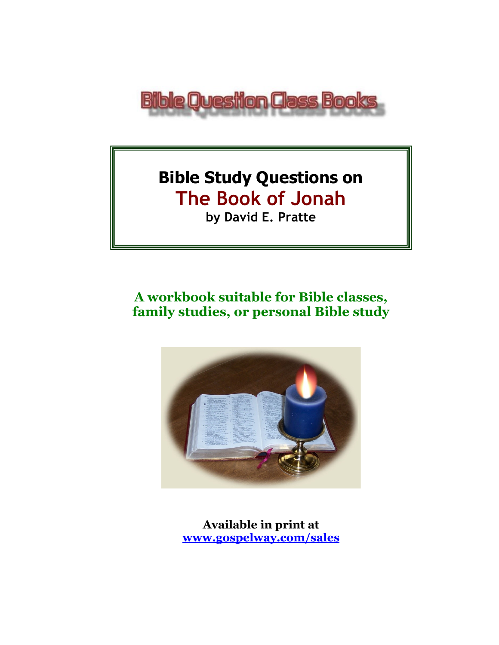

# **Bible Study Questions on The Book of Jonah by David E. Pratte**

## **A workbook suitable for Bible classes, family studies, or personal Bible study**



**Available in print at [www.gospelway.com/sales](https://www.gospelway.com/sales)**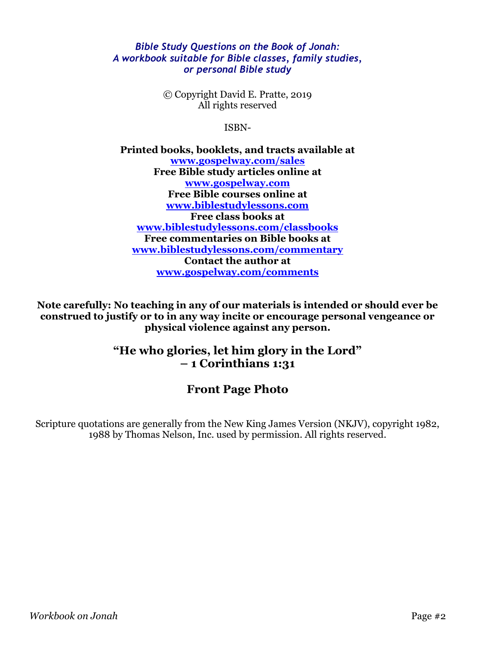#### *Bible Study Questions on the Book of Jonah: A workbook suitable for Bible classes, family studies, or personal Bible study*

© Copyright David E. Pratte, 2019 All rights reserved

ISBN-

**Printed books, booklets, and tracts available at [www.gospelway.com/sales](https://www.gospelway.com/sales) Free Bible study articles online at [www.gospelway.com](http://www.gospelway.com/) Free Bible courses online at [www.biblestudylessons.com](http://www.biblestudylessons.com/) Free class books at [www.biblestudylessons.com/classbooks](http://www.biblestudylessons.com/classbooks) Free commentaries on Bible books at [www.biblestudylessons.com/commentary](https://www.biblestudylessons.com/commentary) Contact the author at [www.gospelway.com/comments](http://www.gospelway.com/comments)**

**Note carefully: No teaching in any of our materials is intended or should ever be construed to justify or to in any way incite or encourage personal vengeance or physical violence against any person.**

### **"He who glories, let him glory in the Lord" – 1 Corinthians 1:31**

### **Front Page Photo**

Scripture quotations are generally from the New King James Version (NKJV), copyright 1982, 1988 by Thomas Nelson, Inc. used by permission. All rights reserved.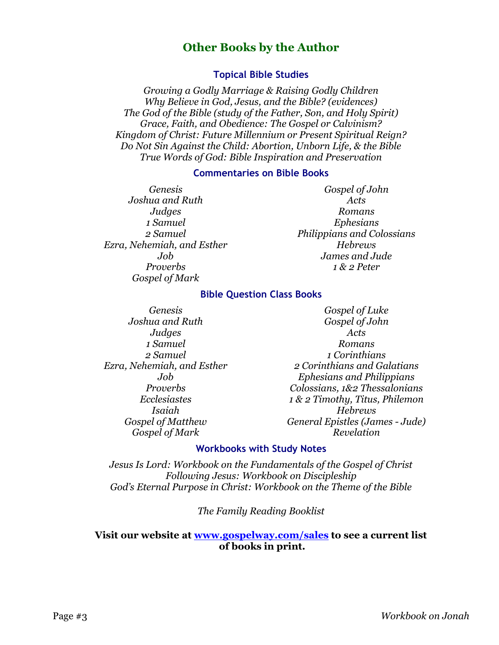### **Other Books by the Author**

#### **Topical Bible Studies**

*Growing a Godly Marriage & Raising Godly Children Why Believe in God, Jesus, and the Bible? (evidences) The God of the Bible (study of the Father, Son, and Holy Spirit) Grace, Faith, and Obedience: The Gospel or Calvinism? Kingdom of Christ: Future Millennium or Present Spiritual Reign? Do Not Sin Against the Child: Abortion, Unborn Life, & the Bible True Words of God: Bible Inspiration and Preservation*

#### **Commentaries on Bible Books**

*Genesis Joshua and Ruth Judges 1 Samuel 2 Samuel Ezra, Nehemiah, and Esther Job Proverbs Gospel of Mark* 

*Gospel of John Acts Romans Ephesians Philippians and Colossians Hebrews James and Jude 1 & 2 Peter*

#### **Bible Question Class Books**

*Genesis Joshua and Ruth Judges 1 Samuel 2 Samuel Ezra, Nehemiah, and Esther Job Proverbs Ecclesiastes Isaiah Gospel of Matthew Gospel of Mark*

*Gospel of Luke Gospel of John Acts Romans 1 Corinthians 2 Corinthians and Galatians Ephesians and Philippians Colossians, 1&2 Thessalonians 1 & 2 Timothy, Titus, Philemon Hebrews General Epistles (James - Jude) Revelation*

#### **Workbooks with Study Notes**

*Jesus Is Lord: Workbook on the Fundamentals of the Gospel of Christ Following Jesus: Workbook on Discipleship God's Eternal Purpose in Christ: Workbook on the Theme of the Bible*

*The Family Reading Booklist*

#### **Visit our website at [www.gospelway.com/sales](https://www.gospelway.com/sales) to see a current list of books in print.**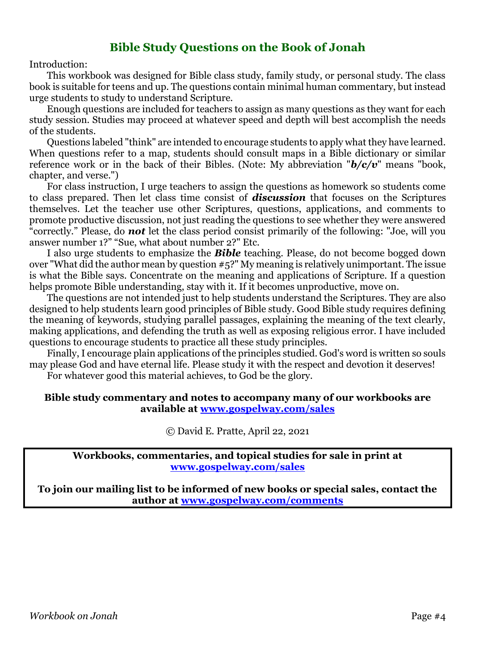### **Bible Study Questions on the Book of Jonah**

Introduction:

This workbook was designed for Bible class study, family study, or personal study. The class book is suitable for teens and up. The questions contain minimal human commentary, but instead urge students to study to understand Scripture.

Enough questions are included for teachers to assign as many questions as they want for each study session. Studies may proceed at whatever speed and depth will best accomplish the needs of the students.

Questions labeled "think" are intended to encourage students to apply what they have learned. When questions refer to a map, students should consult maps in a Bible dictionary or similar reference work or in the back of their Bibles. (Note: My abbreviation "*b/c/v*" means "book, chapter, and verse.")

For class instruction, I urge teachers to assign the questions as homework so students come to class prepared. Then let class time consist of *discussion* that focuses on the Scriptures themselves. Let the teacher use other Scriptures, questions, applications, and comments to promote productive discussion, not just reading the questions to see whether they were answered "correctly." Please, do *not* let the class period consist primarily of the following: "Joe, will you answer number 1?" "Sue, what about number 2?" Etc.

I also urge students to emphasize the *Bible* teaching. Please, do not become bogged down over "What did the author mean by question #5?" My meaning is relatively unimportant. The issue is what the Bible says. Concentrate on the meaning and applications of Scripture. If a question helps promote Bible understanding, stay with it. If it becomes unproductive, move on.

The questions are not intended just to help students understand the Scriptures. They are also designed to help students learn good principles of Bible study. Good Bible study requires defining the meaning of keywords, studying parallel passages, explaining the meaning of the text clearly, making applications, and defending the truth as well as exposing religious error. I have included questions to encourage students to practice all these study principles.

Finally, I encourage plain applications of the principles studied. God's word is written so souls may please God and have eternal life. Please study it with the respect and devotion it deserves! For whatever good this material achieves, to God be the glory.

#### **Bible study commentary and notes to accompany many of our workbooks are available at [www.gospelway.com/sales](https://www.gospelway.com/sales)**

© David E. Pratte, April 22, 2021

**Workbooks, commentaries, and topical studies for sale in print at [www.gospelway.com/sales](https://www.gospelway.com/sales)**

**To join our mailing list to be informed of new books or special sales, contact the author at [www.gospelway.com/comments](http://www.gospelway.com/comments)**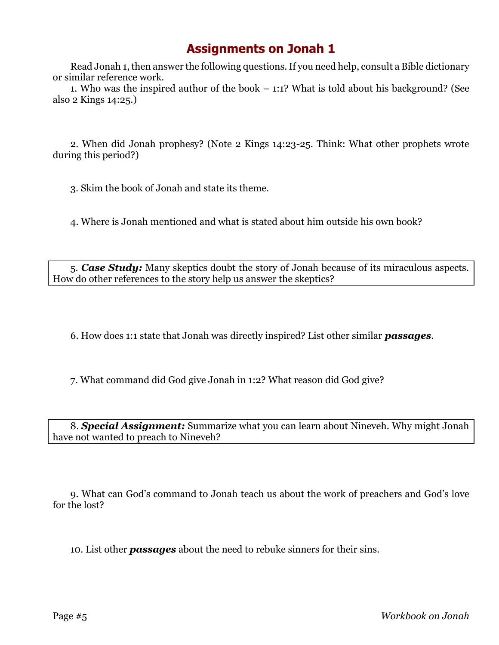Read Jonah 1, then answer the following questions. If you need help, consult a Bible dictionary or similar reference work.

1. Who was the inspired author of the book – 1:1? What is told about his background? (See also 2 Kings 14:25.)

2. When did Jonah prophesy? (Note 2 Kings 14:23-25. Think: What other prophets wrote during this period?)

3. Skim the book of Jonah and state its theme.

4. Where is Jonah mentioned and what is stated about him outside his own book?

5. *Case Study:* Many skeptics doubt the story of Jonah because of its miraculous aspects. How do other references to the story help us answer the skeptics?

6. How does 1:1 state that Jonah was directly inspired? List other similar *passages*.

7. What command did God give Jonah in 1:2? What reason did God give?

8. *Special Assignment:* Summarize what you can learn about Nineveh. Why might Jonah have not wanted to preach to Nineveh?

9. What can God's command to Jonah teach us about the work of preachers and God's love for the lost?

10. List other *passages* about the need to rebuke sinners for their sins.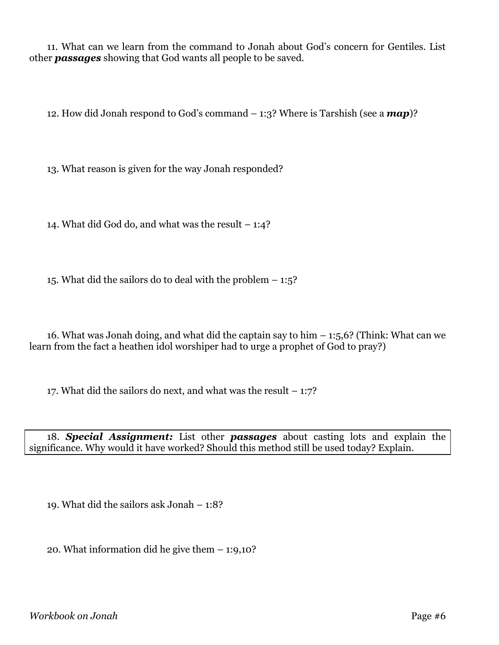11. What can we learn from the command to Jonah about God's concern for Gentiles. List other *passages* showing that God wants all people to be saved.

12. How did Jonah respond to God's command – 1:3? Where is Tarshish (see a *map*)?

13. What reason is given for the way Jonah responded?

14. What did God do, and what was the result – 1:4?

15. What did the sailors do to deal with the problem – 1:5?

16. What was Jonah doing, and what did the captain say to him  $-$  1:5,6? (Think: What can we learn from the fact a heathen idol worshiper had to urge a prophet of God to pray?)

17. What did the sailors do next, and what was the result  $-1:7$ ?

18. *Special Assignment:* List other *passages* about casting lots and explain the significance. Why would it have worked? Should this method still be used today? Explain.

19. What did the sailors ask Jonah – 1:8?

20. What information did he give them – 1:9,10?

*Workbook on Jonah* Page #6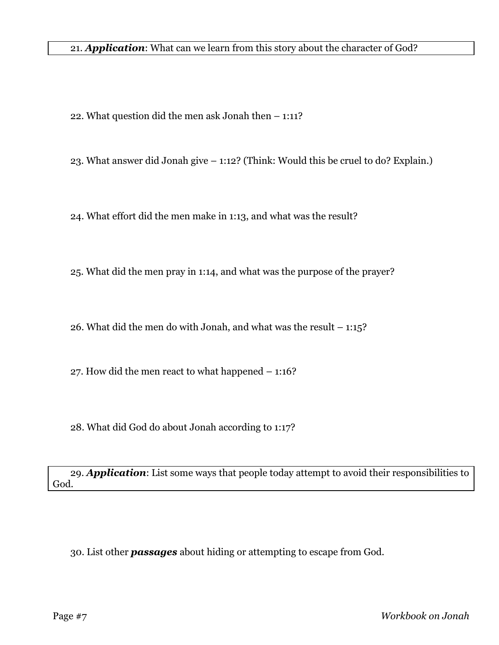22. What question did the men ask Jonah then – 1:11?

23. What answer did Jonah give – 1:12? (Think: Would this be cruel to do? Explain.)

24. What effort did the men make in 1:13, and what was the result?

25. What did the men pray in 1:14, and what was the purpose of the prayer?

26. What did the men do with Jonah, and what was the result – 1:15?

27. How did the men react to what happened – 1:16?

28. What did God do about Jonah according to 1:17?

29. *Application*: List some ways that people today attempt to avoid their responsibilities to God.

30. List other *passages* about hiding or attempting to escape from God.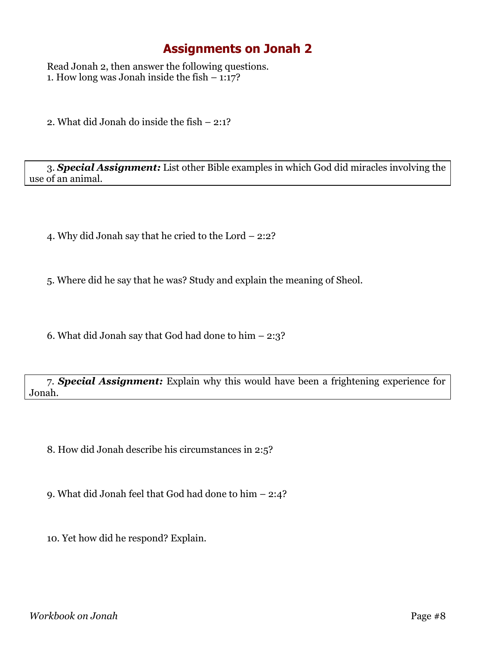Read Jonah 2, then answer the following questions. 1. How long was Jonah inside the fish  $-1:17$ ?

2. What did Jonah do inside the fish – 2:1?

3. *Special Assignment:* List other Bible examples in which God did miracles involving the use of an animal.

4. Why did Jonah say that he cried to the Lord – 2:2?

5. Where did he say that he was? Study and explain the meaning of Sheol.

6. What did Jonah say that God had done to him – 2:3?

7. *Special Assignment:* Explain why this would have been a frightening experience for Jonah.

8. How did Jonah describe his circumstances in 2:5?

9. What did Jonah feel that God had done to him – 2:4?

10. Yet how did he respond? Explain.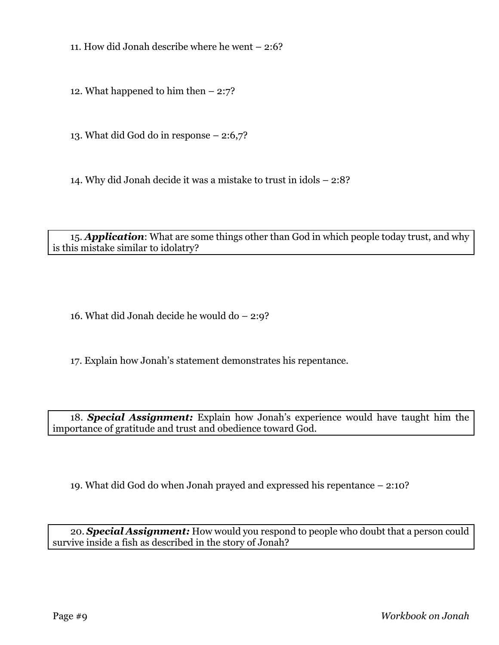11. How did Jonah describe where he went – 2:6?

12. What happened to him then  $-2:7$ ?

13. What did God do in response – 2:6,7?

14. Why did Jonah decide it was a mistake to trust in idols – 2:8?

15. *Application*: What are some things other than God in which people today trust, and why is this mistake similar to idolatry?

16. What did Jonah decide he would do – 2:9?

17. Explain how Jonah's statement demonstrates his repentance.

18. *Special Assignment:* Explain how Jonah's experience would have taught him the importance of gratitude and trust and obedience toward God.

19. What did God do when Jonah prayed and expressed his repentance – 2:10?

20. *Special Assignment:* How would you respond to people who doubt that a person could survive inside a fish as described in the story of Jonah?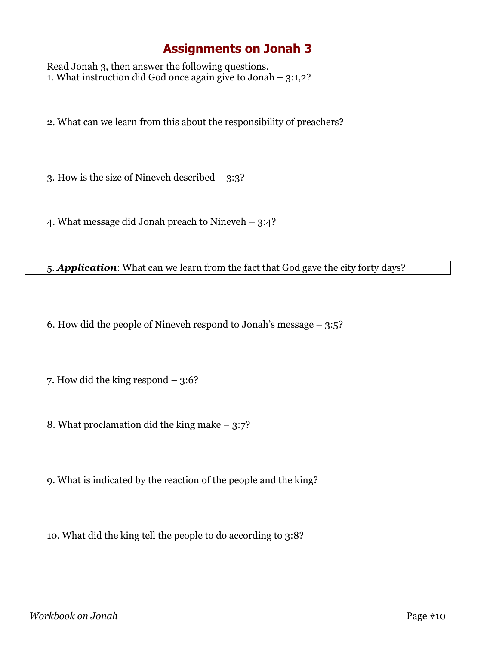Read Jonah 3, then answer the following questions. 1. What instruction did God once again give to Jonah – 3:1,2?

2. What can we learn from this about the responsibility of preachers?

3. How is the size of Nineveh described – 3:3?

4. What message did Jonah preach to Nineveh – 3:4?

#### 5. *Application*: What can we learn from the fact that God gave the city forty days?

6. How did the people of Nineveh respond to Jonah's message – 3:5?

7. How did the king respond – 3:6?

8. What proclamation did the king make – 3:7?

9. What is indicated by the reaction of the people and the king?

10. What did the king tell the people to do according to 3:8?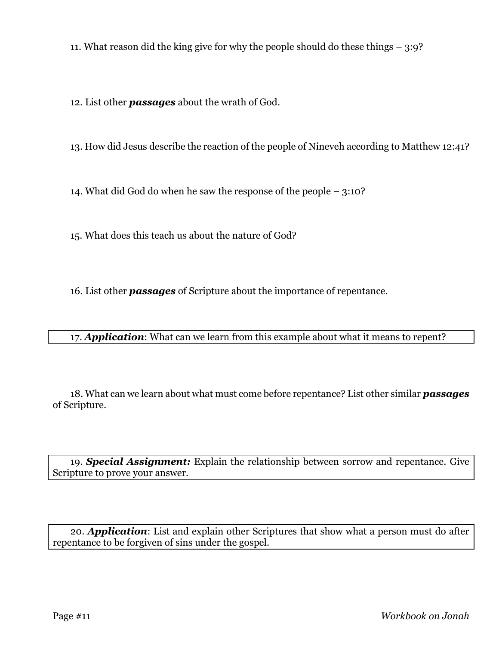11. What reason did the king give for why the people should do these things – 3:9?

12. List other *passages* about the wrath of God.

13. How did Jesus describe the reaction of the people of Nineveh according to Matthew 12:41?

14. What did God do when he saw the response of the people – 3:10?

15. What does this teach us about the nature of God?

16. List other *passages* of Scripture about the importance of repentance.

17. *Application*: What can we learn from this example about what it means to repent?

18. What can we learn about what must come before repentance? List other similar *passages* of Scripture.

19. *Special Assignment:* Explain the relationship between sorrow and repentance. Give Scripture to prove your answer.

20. *Application*: List and explain other Scriptures that show what a person must do after repentance to be forgiven of sins under the gospel.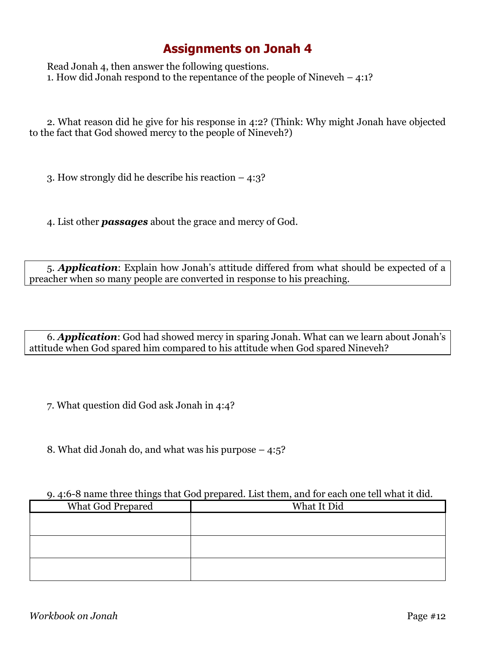Read Jonah 4, then answer the following questions. 1. How did Jonah respond to the repentance of the people of Nineveh – 4:1?

2. What reason did he give for his response in 4:2? (Think: Why might Jonah have objected to the fact that God showed mercy to the people of Nineveh?)

3. How strongly did he describe his reaction – 4:3?

4. List other *passages* about the grace and mercy of God.

5. *Application*: Explain how Jonah's attitude differed from what should be expected of a preacher when so many people are converted in response to his preaching.

6. *Application*: God had showed mercy in sparing Jonah. What can we learn about Jonah's attitude when God spared him compared to his attitude when God spared Nineveh?

7. What question did God ask Jonah in 4:4?

8. What did Jonah do, and what was his purpose – 4:5?

#### 9. 4:6-8 name three things that God prepared. List them, and for each one tell what it did.

| <b>What God Prepared</b> | What It Did |
|--------------------------|-------------|
|                          |             |
|                          |             |
|                          |             |
|                          |             |
|                          |             |
|                          |             |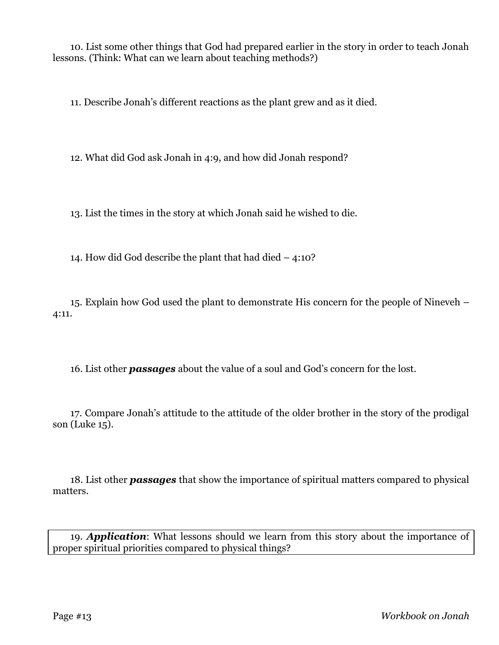10. List some other things that God had prepared earlier in the story in order to teach Jonah lessons. (Think: What can we learn about teaching methods?)

11. Describe Jonah's different reactions as the plant grew and as it died.

12. What did God ask Jonah in 4:9, and how did Jonah respond?

13. List the times in the story at which Jonah said he wished to die.

14. How did God describe the plant that had died – 4:10?

15. Explain how God used the plant to demonstrate His concern for the people of Nineveh – 4:11.

16. List other *passages* about the value of a soul and God's concern for the lost.

17. Compare Jonah's attitude to the attitude of the older brother in the story of the prodigal son (Luke 15).

18. List other *passages* that show the importance of spiritual matters compared to physical matters.

19. *Application*: What lessons should we learn from this story about the importance of proper spiritual priorities compared to physical things?